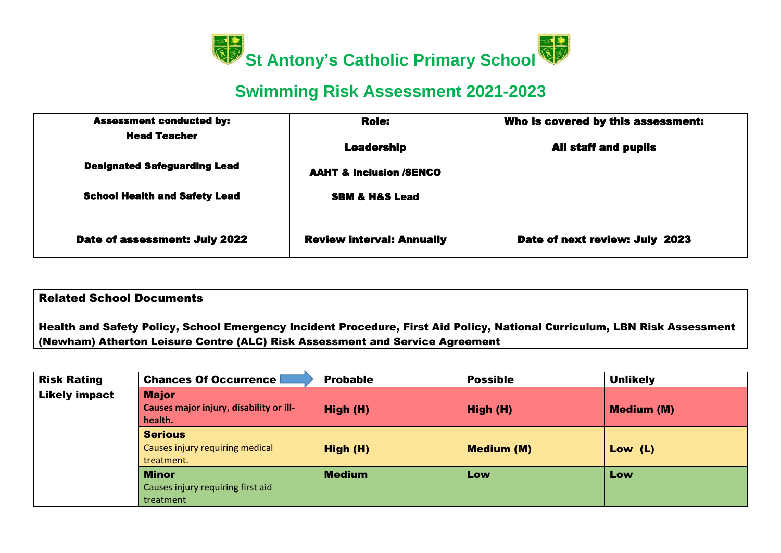

## **Swimming Risk Assessment 2021-2023**

| <b>Assessment conducted by:</b>      | <b>Role:</b>                       | Who is covered by this assessment: |
|--------------------------------------|------------------------------------|------------------------------------|
| <b>Head Teacher</b>                  | <b>Leadership</b>                  | <b>All staff and pupils</b>        |
| <b>Designated Safeguarding Lead</b>  | <b>AAHT &amp; Inclusion /SENCO</b> |                                    |
| <b>School Health and Safety Lead</b> | <b>SBM &amp; H&amp;S Lead</b>      |                                    |
|                                      |                                    |                                    |
| Date of assessment: July 2022        | <b>Review interval: Annually</b>   | Date of next review: July 2023     |

| <b>Related School Documents</b>                                                                                           |
|---------------------------------------------------------------------------------------------------------------------------|
| Health and Safety Policy, School Emergency Incident Procedure, First Aid Policy, National Curriculum, LBN Risk Assessment |
| (Newham) Atherton Leisure Centre (ALC) Risk Assessment and Service Agreement                                              |
|                                                                                                                           |

| <b>Risk Rating</b>   | <b>Chances Of Occurrence</b>                       | <b>Probable</b> | <b>Possible</b>   | <b>Unlikely</b>   |
|----------------------|----------------------------------------------------|-----------------|-------------------|-------------------|
| <b>Likely impact</b> | <b>Major</b>                                       |                 |                   |                   |
|                      | Causes major injury, disability or ill-<br>health. | High (H)        | High (H)          | <b>Medium (M)</b> |
|                      | <b>Serious</b>                                     |                 |                   |                   |
|                      | Causes injury requiring medical<br>treatment.      | High (H)        | <b>Medium (M)</b> | Low $(L)$         |
|                      | <b>Minor</b>                                       | <b>Medium</b>   | Low               | Low               |
|                      | Causes injury requiring first aid                  |                 |                   |                   |
|                      | treatment                                          |                 |                   |                   |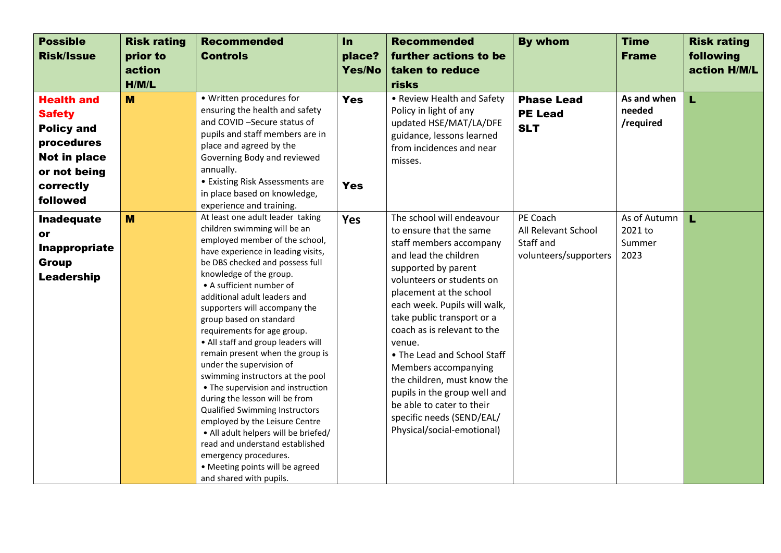| <b>Possible</b><br><b>Risk/Issue</b>                                                                                           | <b>Risk rating</b><br>prior to<br>action<br>H/M/L | <b>Recommended</b><br><b>Controls</b>                                                                                                                                                                                                                                                                                                                                                                                                                                                                                                                                                                                                                                                                                                                                                                                       | In<br>place?<br>Yes/No   | <b>Recommended</b><br>further actions to be<br>taken to reduce<br>risks                                                                                                                                                                                                                                                                                                                                                                                                                                      | <b>By whom</b>                                                        | <b>Time</b><br><b>Frame</b>               | <b>Risk rating</b><br>following<br>action H/M/L |
|--------------------------------------------------------------------------------------------------------------------------------|---------------------------------------------------|-----------------------------------------------------------------------------------------------------------------------------------------------------------------------------------------------------------------------------------------------------------------------------------------------------------------------------------------------------------------------------------------------------------------------------------------------------------------------------------------------------------------------------------------------------------------------------------------------------------------------------------------------------------------------------------------------------------------------------------------------------------------------------------------------------------------------------|--------------------------|--------------------------------------------------------------------------------------------------------------------------------------------------------------------------------------------------------------------------------------------------------------------------------------------------------------------------------------------------------------------------------------------------------------------------------------------------------------------------------------------------------------|-----------------------------------------------------------------------|-------------------------------------------|-------------------------------------------------|
| <b>Health and</b><br><b>Safety</b><br><b>Policy and</b><br>procedures<br>Not in place<br>or not being<br>correctly<br>followed | M                                                 | • Written procedures for<br>ensuring the health and safety<br>and COVID-Secure status of<br>pupils and staff members are in<br>place and agreed by the<br>Governing Body and reviewed<br>annually.<br>• Existing Risk Assessments are<br>in place based on knowledge,<br>experience and training.                                                                                                                                                                                                                                                                                                                                                                                                                                                                                                                           | <b>Yes</b><br><b>Yes</b> | • Review Health and Safety<br>Policy in light of any<br>updated HSE/MAT/LA/DFE<br>guidance, lessons learned<br>from incidences and near<br>misses.                                                                                                                                                                                                                                                                                                                                                           | <b>Phase Lead</b><br><b>PE Lead</b><br><b>SLT</b>                     | As and when<br>needed<br>/required        | Ĺ                                               |
| <b>Inadequate</b><br>or<br>Inappropriate<br><b>Group</b><br><b>Leadership</b>                                                  | M                                                 | At least one adult leader taking<br>children swimming will be an<br>employed member of the school,<br>have experience in leading visits,<br>be DBS checked and possess full<br>knowledge of the group.<br>• A sufficient number of<br>additional adult leaders and<br>supporters will accompany the<br>group based on standard<br>requirements for age group.<br>• All staff and group leaders will<br>remain present when the group is<br>under the supervision of<br>swimming instructors at the pool<br>• The supervision and instruction<br>during the lesson will be from<br><b>Qualified Swimming Instructors</b><br>employed by the Leisure Centre<br>• All adult helpers will be briefed/<br>read and understand established<br>emergency procedures.<br>• Meeting points will be agreed<br>and shared with pupils. | <b>Yes</b>               | The school will endeavour<br>to ensure that the same<br>staff members accompany<br>and lead the children<br>supported by parent<br>volunteers or students on<br>placement at the school<br>each week. Pupils will walk,<br>take public transport or a<br>coach as is relevant to the<br>venue.<br>• The Lead and School Staff<br>Members accompanying<br>the children, must know the<br>pupils in the group well and<br>be able to cater to their<br>specific needs (SEND/EAL/<br>Physical/social-emotional) | PE Coach<br>All Relevant School<br>Staff and<br>volunteers/supporters | As of Autumn<br>2021 to<br>Summer<br>2023 | L                                               |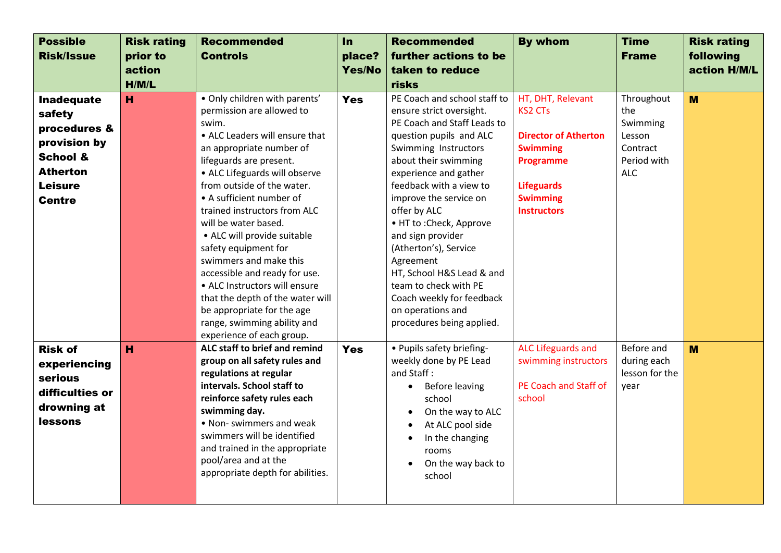| <b>Possible</b><br><b>Risk/Issue</b>                                                                                                     | <b>Risk rating</b><br>prior to<br>action<br>H/M/L | <b>Recommended</b><br><b>Controls</b>                                                                                                                                                                                                                                                                                                                                                                                                                                                                                                                                                            | In<br>place?<br>Yes/No | <b>Recommended</b><br>further actions to be<br>taken to reduce<br>risks                                                                                                                                                                                                                                                                                                                                                                                                                      | <b>By whom</b>                                                                                                                                                   | <b>Time</b><br><b>Frame</b>                                                      | <b>Risk rating</b><br>following<br>action H/M/L |
|------------------------------------------------------------------------------------------------------------------------------------------|---------------------------------------------------|--------------------------------------------------------------------------------------------------------------------------------------------------------------------------------------------------------------------------------------------------------------------------------------------------------------------------------------------------------------------------------------------------------------------------------------------------------------------------------------------------------------------------------------------------------------------------------------------------|------------------------|----------------------------------------------------------------------------------------------------------------------------------------------------------------------------------------------------------------------------------------------------------------------------------------------------------------------------------------------------------------------------------------------------------------------------------------------------------------------------------------------|------------------------------------------------------------------------------------------------------------------------------------------------------------------|----------------------------------------------------------------------------------|-------------------------------------------------|
| <b>Inadequate</b><br>safety<br>procedures &<br>provision by<br><b>School &amp;</b><br><b>Atherton</b><br><b>Leisure</b><br><b>Centre</b> | H                                                 | . Only children with parents'<br>permission are allowed to<br>swim.<br>• ALC Leaders will ensure that<br>an appropriate number of<br>lifeguards are present.<br>• ALC Lifeguards will observe<br>from outside of the water.<br>• A sufficient number of<br>trained instructors from ALC<br>will be water based.<br>• ALC will provide suitable<br>safety equipment for<br>swimmers and make this<br>accessible and ready for use.<br>• ALC Instructors will ensure<br>that the depth of the water will<br>be appropriate for the age<br>range, swimming ability and<br>experience of each group. | <b>Yes</b>             | PE Coach and school staff to<br>ensure strict oversight.<br>PE Coach and Staff Leads to<br>question pupils and ALC<br>Swimming Instructors<br>about their swimming<br>experience and gather<br>feedback with a view to<br>improve the service on<br>offer by ALC<br>• HT to : Check, Approve<br>and sign provider<br>(Atherton's), Service<br>Agreement<br>HT, School H&S Lead & and<br>team to check with PE<br>Coach weekly for feedback<br>on operations and<br>procedures being applied. | HT, DHT, Relevant<br><b>KS2 CTs</b><br><b>Director of Atherton</b><br><b>Swimming</b><br>Programme<br><b>Lifeguards</b><br><b>Swimming</b><br><b>Instructors</b> | Throughout<br>the<br>Swimming<br>Lesson<br>Contract<br>Period with<br><b>ALC</b> | M                                               |
| <b>Risk of</b><br>experiencing<br>serious<br>difficulties or<br>drowning at<br><b>lessons</b>                                            | H                                                 | ALC staff to brief and remind<br>group on all safety rules and<br>regulations at regular<br>intervals. School staff to<br>reinforce safety rules each<br>swimming day.<br>• Non- swimmers and weak<br>swimmers will be identified<br>and trained in the appropriate<br>pool/area and at the<br>appropriate depth for abilities.                                                                                                                                                                                                                                                                  | <b>Yes</b>             | • Pupils safety briefing-<br>weekly done by PE Lead<br>and Staff:<br>Before leaving<br>$\bullet$<br>school<br>On the way to ALC<br>$\bullet$<br>At ALC pool side<br>$\bullet$<br>In the changing<br>$\bullet$<br>rooms<br>On the way back to<br>$\bullet$<br>school                                                                                                                                                                                                                          | <b>ALC Lifeguards and</b><br>swimming instructors<br>PE Coach and Staff of<br>school                                                                             | Before and<br>during each<br>lesson for the<br>year                              | M                                               |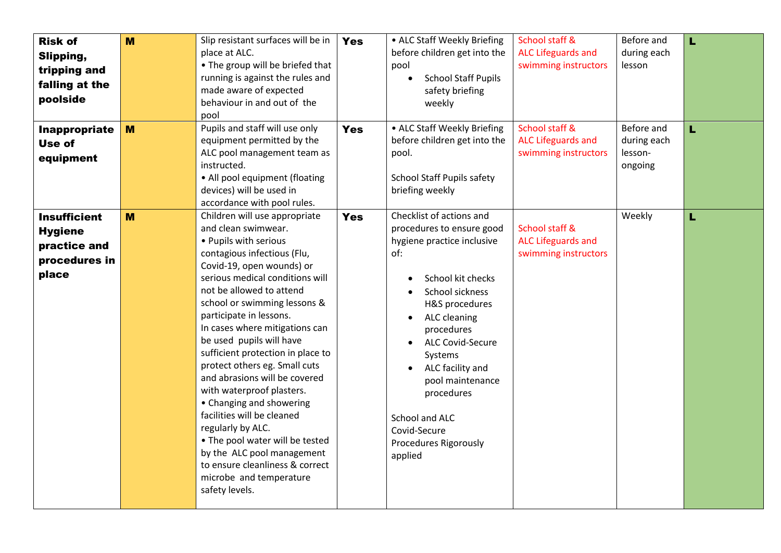| <b>Risk of</b><br>Slipping,<br>tripping and<br>falling at the<br>poolside       | M | Slip resistant surfaces will be in<br>place at ALC.<br>• The group will be briefed that<br>running is against the rules and<br>made aware of expected<br>behaviour in and out of the<br>pool                                                                                                                                                                                                                                                                                                                                                                                                                                                                                                          | <b>Yes</b> | • ALC Staff Weekly Briefing<br>before children get into the<br>pool<br><b>School Staff Pupils</b><br>$\bullet$<br>safety briefing<br>weekly                                                                                                                                                                                                          | School staff &<br><b>ALC Lifeguards and</b><br>swimming instructors | Before and<br>during each<br>lesson             | L. |
|---------------------------------------------------------------------------------|---|-------------------------------------------------------------------------------------------------------------------------------------------------------------------------------------------------------------------------------------------------------------------------------------------------------------------------------------------------------------------------------------------------------------------------------------------------------------------------------------------------------------------------------------------------------------------------------------------------------------------------------------------------------------------------------------------------------|------------|------------------------------------------------------------------------------------------------------------------------------------------------------------------------------------------------------------------------------------------------------------------------------------------------------------------------------------------------------|---------------------------------------------------------------------|-------------------------------------------------|----|
| Inappropriate<br>Use of<br>equipment                                            | M | Pupils and staff will use only<br>equipment permitted by the<br>ALC pool management team as<br>instructed.<br>• All pool equipment (floating<br>devices) will be used in<br>accordance with pool rules.                                                                                                                                                                                                                                                                                                                                                                                                                                                                                               | <b>Yes</b> | • ALC Staff Weekly Briefing<br>before children get into the<br>pool.<br>School Staff Pupils safety<br>briefing weekly                                                                                                                                                                                                                                | School staff &<br><b>ALC Lifeguards and</b><br>swimming instructors | Before and<br>during each<br>lesson-<br>ongoing | Ĺ  |
| <b>Insufficient</b><br><b>Hygiene</b><br>practice and<br>procedures in<br>place | M | Children will use appropriate<br>and clean swimwear.<br>• Pupils with serious<br>contagious infectious (Flu,<br>Covid-19, open wounds) or<br>serious medical conditions will<br>not be allowed to attend<br>school or swimming lessons &<br>participate in lessons.<br>In cases where mitigations can<br>be used pupils will have<br>sufficient protection in place to<br>protect others eg. Small cuts<br>and abrasions will be covered<br>with waterproof plasters.<br>• Changing and showering<br>facilities will be cleaned<br>regularly by ALC.<br>• The pool water will be tested<br>by the ALC pool management<br>to ensure cleanliness & correct<br>microbe and temperature<br>safety levels. | <b>Yes</b> | Checklist of actions and<br>procedures to ensure good<br>hygiene practice inclusive<br>of:<br>School kit checks<br>School sickness<br>H&S procedures<br>ALC cleaning<br>procedures<br><b>ALC Covid-Secure</b><br>Systems<br>ALC facility and<br>pool maintenance<br>procedures<br>School and ALC<br>Covid-Secure<br>Procedures Rigorously<br>applied | School staff &<br><b>ALC Lifeguards and</b><br>swimming instructors | Weekly                                          | L  |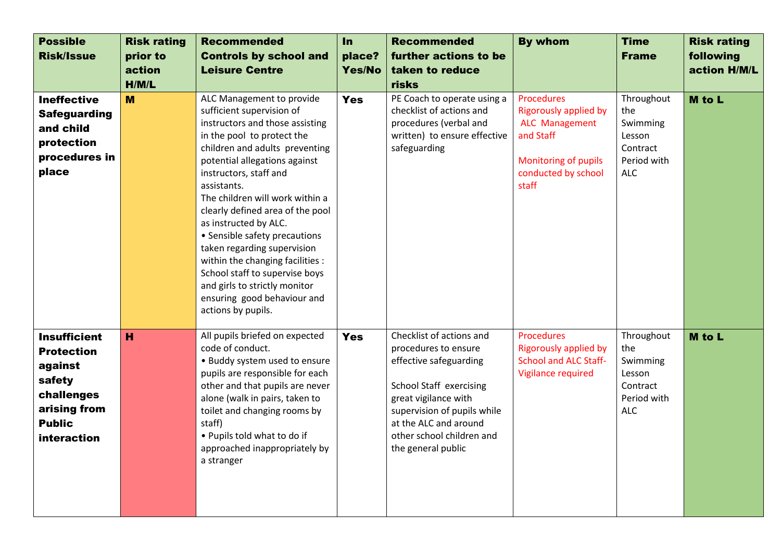| <b>Possible</b><br><b>Risk/Issue</b>                                                                                        | <b>Risk rating</b><br>prior to<br>action<br>H/M/L | <b>Recommended</b><br><b>Controls by school and</b><br><b>Leisure Centre</b>                                                                                                                                                                                                                                                                                                                                                                                                                                                                                    | In<br>place?<br>Yes/No | <b>Recommended</b><br>further actions to be<br>taken to reduce<br>risks                                                                                                                                                                  | <b>By whom</b>                                                                                                                    | <b>Time</b><br><b>Frame</b>                                                      | <b>Risk rating</b><br>following<br>action H/M/L |
|-----------------------------------------------------------------------------------------------------------------------------|---------------------------------------------------|-----------------------------------------------------------------------------------------------------------------------------------------------------------------------------------------------------------------------------------------------------------------------------------------------------------------------------------------------------------------------------------------------------------------------------------------------------------------------------------------------------------------------------------------------------------------|------------------------|------------------------------------------------------------------------------------------------------------------------------------------------------------------------------------------------------------------------------------------|-----------------------------------------------------------------------------------------------------------------------------------|----------------------------------------------------------------------------------|-------------------------------------------------|
| <b>Ineffective</b><br><b>Safeguarding</b><br>and child<br>protection<br>procedures in<br>place                              | M                                                 | ALC Management to provide<br>sufficient supervision of<br>instructors and those assisting<br>in the pool to protect the<br>children and adults preventing<br>potential allegations against<br>instructors, staff and<br>assistants.<br>The children will work within a<br>clearly defined area of the pool<br>as instructed by ALC.<br>• Sensible safety precautions<br>taken regarding supervision<br>within the changing facilities :<br>School staff to supervise boys<br>and girls to strictly monitor<br>ensuring good behaviour and<br>actions by pupils. | <b>Yes</b>             | PE Coach to operate using a<br>checklist of actions and<br>procedures (verbal and<br>written) to ensure effective<br>safeguarding                                                                                                        | Procedures<br><b>Rigorously applied by</b><br>ALC Management<br>and Staff<br>Monitoring of pupils<br>conducted by school<br>staff | Throughout<br>the<br>Swimming<br>Lesson<br>Contract<br>Period with<br><b>ALC</b> | M to L                                          |
| <b>Insufficient</b><br><b>Protection</b><br>against<br>safety<br>challenges<br>arising from<br><b>Public</b><br>interaction | H                                                 | All pupils briefed on expected<br>code of conduct.<br>• Buddy system used to ensure<br>pupils are responsible for each<br>other and that pupils are never<br>alone (walk in pairs, taken to<br>toilet and changing rooms by<br>staff)<br>• Pupils told what to do if<br>approached inappropriately by<br>a stranger                                                                                                                                                                                                                                             | <b>Yes</b>             | Checklist of actions and<br>procedures to ensure<br>effective safeguarding<br>School Staff exercising<br>great vigilance with<br>supervision of pupils while<br>at the ALC and around<br>other school children and<br>the general public | <b>Procedures</b><br><b>Rigorously applied by</b><br><b>School and ALC Staff-</b><br>Vigilance required                           | Throughout<br>the<br>Swimming<br>Lesson<br>Contract<br>Period with<br><b>ALC</b> | M to L                                          |